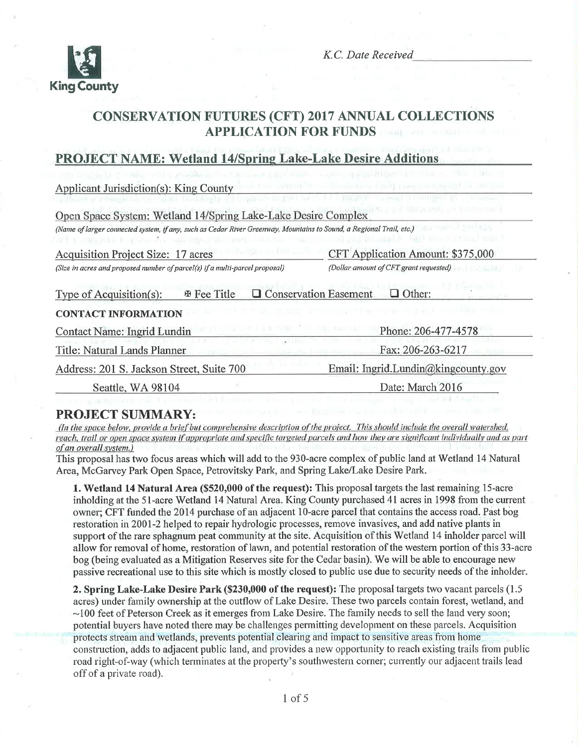

# CONSERVATION FUTURES (CFT) 2017 ANNUAL COLLECTIONS **APPLICATION FOR FUNDS**

# PROJECT NAME: Wetland 14/Spring Lake-Lake Desire Additions

Applicant Jurisdiction(s): King County

| Open Space System: Wetland 14/Spring Lake-Lake Desire Complex                                                       |                                                 |
|---------------------------------------------------------------------------------------------------------------------|-------------------------------------------------|
| (Name of larger connected system, if any, such as Cedar River Greenway, Mountains to Sound, a Regional Trail, etc.) |                                                 |
| <b>Acquisition Project Size: 17 acres</b>                                                                           | CFT Application Amount: \$375,000               |
| (Size in acres and proposed number of parcel(s) if a multi-parcel proposal)                                         | (Dollar amount of CFT grant requested)          |
| Type of Acquisition(s):<br><b>E</b> Fee Title                                                                       | <b>Q</b> Conservation Easement<br>$\Box$ Other: |
| <b>CONTACT INFORMATION</b>                                                                                          |                                                 |
| <b>Contact Name: Ingrid Lundin</b>                                                                                  | Phone: 206-477-4578                             |
| Title: Natural Lands Planner                                                                                        | Fax: 206-263-6217                               |
| Address: 201 S. Jackson Street, Suite 700                                                                           | Email: Ingrid.Lundin@kingcounty.gov             |
| Seattle, WA 98104                                                                                                   | Date: March 2016                                |
|                                                                                                                     |                                                 |

**PROJECT SUMMARY:**<br>(In the space below, provide a brief but comprehensive description of the project. This should include the overall watershed. reach, trail or open space system if appropriate and specific targeted parcels and how they are significant individually and as part of an overall system.)

This proposal has two focus areas which will add to the 930-acre complex of public land at Wetland 14 Natural Area, McGarvey Park Open Space, Petrovitsky Park, and Spring Lake/Lake Desire Park.

1. Wetland 14 Natural Area (\$520,000 of the request): This proposal targets the last remaining 15-acre inholding at the 5l-acre Wetland 14 Natural Area. King County purchased 41 acres in 1998 from the cunent owner; CFT funded the 2014 purchase of an adjacent 10-acre parcel that contains the access road. Past bog restoration in200l-2 helped to repair hydrologic processes, rernove invasives, and add native plants in support of the rare sphagnum peat community at the site. Acquisition of this Wetland 14 inholder parcel will allow for removal of home, restoration of lawn, and potential restoration of the westem poftion of this 33-acre bog (being evaluated as a Mitigation Reseryes site for the Cedar basin). We will be able to encourage nev/ passive recreational use to this site which is rnostly closed to public use due to security needs of the inholder.

2. Spring Lake-Lake Desire Park (\$230,000 of the request): The proposal targets two vacant parcels (1.5) acres) under family ownership at the outflow of Lake Desire. These two parcels contain forest, wetland, and  $\sim$ 100 feet of Peterson Creek as it emerges from Lake Desire. The family needs to sell the land very soon; potential buyers have noted there may be challenges pennitting development on these parcels. Acquisition protects stream and wetlands, prevents potential clearing and impact to sensitive areas from home construction, adds to adjacent public land, and provides a new opportunity to reach existing trails from public road right-of-way (which terminates at the property's southwestern corner; currently our adjacent trails lead off of a private road).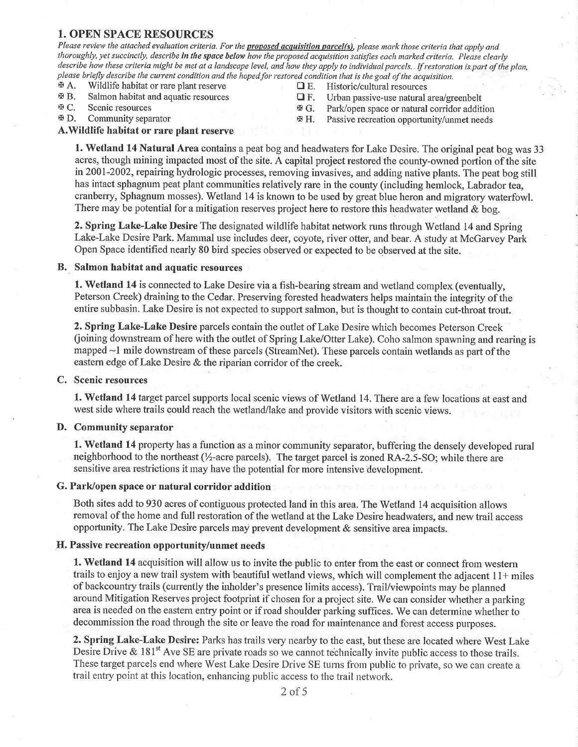## 1. OPEN SPACE RESOURCES

Please review the attached evaluation criteria. For the **proposed acquisition parcel(s)**, please mark those criteria that apply and thoroughly, yet succinctly, describe in the space below how the proposed acquisition satisfies each marked criteria. Please clearly describe how these criteria might be met at a landscape level, and how they apply to individual parcels. If restoration is part of the plan, please briefly describe the current condition and the hoped for restored condition that is the goal of the acquisition.<br>  $\mathbf{B}$  A. Wildlife habitat or rare plant reserve  $\Box$  E. Historic/cultural resources

- $\mathcal{F}$ A. Wildlife habitat or rare plant reserve  $\Box$  E. Historic/cultural resources  $\Box$  E. Urban passive-use natural resources
- 
- 
- 
- 
- **EXALMON HABITAT AND EXALMON HABITAT AREA** EXACT TREE TRIMAGES TRIMAGES. Scenic resources **EXALMON PARTS** C. Scenic resources **EXALMON PARTS** C. Scenic resources **EXALMON PARTS** C.
- $\mathfrak{B}$  C. Scenic resources  $\mathfrak{B}$  G. Park/open space or natural corridor addition  $\mathfrak{B}$  D. Community separator
	- Passive recreation opportunity/unmet needs

#### A. Wildlife habitat or rare plant reserve

1. Wetland 14 Natural Area contains a peat bog and headwaters for Lake Desire. The original peat bog was <sup>33</sup> acres, though mining impacted most of the site. A capital project restored the county-owned portion of the site in 2001-2002, repairing hydrologic processes, removing invasives, and adding native plants. The peat bog still has intact sphagnum peat plant communities relatively rare in the county (including hemlock, Labrador tea, cranberry, Sphagnum mosses). Wetland 14 is known to be used by great blue heron and migratory waterfowl. There may be potential for a mitigation reserves project here to restore this headwater wetland & bog.

2. Spring Lake-Lake Desire The designated wildlife habitat network runs through Wetland 14 and Spring Lake-Lake Desire Park. Mammal use includes deer, coyote, river otter, and bear. A study at McGarvey Park Open Space identified nearly 80 bird species observed or expected to be observed at the site.

#### B. Salmon habitat and aquatic resources

1. Wetland 14 is connected to Lake Desire via a fish-bearing stream and wetland complex (eventually, Peterson Creek) draining to the Cedar. Preserving forested headwaters helps maintain the integrity of the entire subbasin. Lake Desire is not expected to support salmon, but is thought to contain cut-throat trout.

2. Spring Lake-Lake Desire parcels contain the outlet of Lake Desire which becomes Peterson Creek (oining downstream of here with the outlet of Spring Lake/Otter Lake). Coho salmon spawning and rearing is mapped -1 mile downstream of these parcels (StreamNet). These parcels contain wetlands as part of the eastern edge of Lake Desire & the riparian corridor of the creek.

#### C. Scenic resources

1. Wetland 14 target parcel supports local scenic views of Wetland 14. There are a few locations at east and west side where trails could reach the wetland/lake and provide visitors with scenic views.

#### D. Community separator

1. Wetland 14 property has a function as a minor community separator, buffering the densely developed rural neighborhood to the northeast  $\frac{1}{2}$ -acre parcels). The target parcel is zoned RA-2.5-SO; while there are sensitive area restrictions it may have the potential for more intensive development.

#### G. Park/open space or natural corridor addition

Both sites add to 930 acres of contiguous protected land in this area. The Wetland 14 acquisition allows removal of the home and full restoration of the wetland at the Lake Desire headwaters, and new trail access opportunity. The Lake Desire parcels may prevent development  $\&$  sensitive area impacts.

### If. Passive recreation opportunity/unmet needs

1. Wetland 14 acquisition will allow us to invite the public to enter from the east or connect from western trails to enjoy a new trail system with beautiful wetland views, which will complement the adjacent  $11+$  miles of backcountry trails (currently the inholder's presence limits access). Trail/viewpoints may be planned around Mitigation Reserves project footprint if chosen for a project site. We can consider whether a parking area is needed on the eastern entry point or if road shoulder parking suffices. We can determine whether to decommission the road through the site or leave the road for maintenance and forest access purposes.

2. Spring Lake-Lake Desire: Parks has trails very nearby to the east, but these are located where West Lake Desire Drive &  $181^{st}$  Ave SE are private roads so we cannot technically invite public access to those trails. These target parcels end where West Lake Desire Drive SE turns from public to private, so we can create a trail entry point at this location, enhancing public access to the trail network.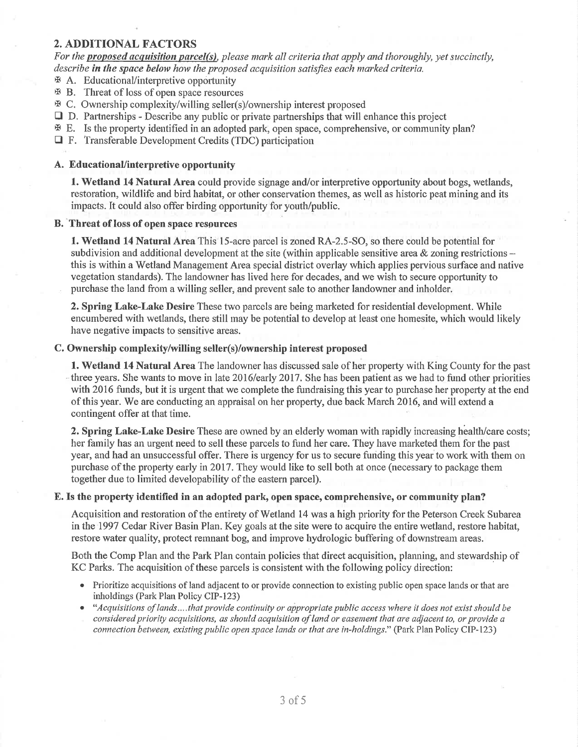## 2. ADDITIONAL FACTORS

For the **proposed acquisition parcel(s)**, please mark all criteria that apply and thoroughly, yet succinctly, describe in the space below how the proposed acquisition satisfies each marked criteria.

- $\mathbb F$  A. Educational/interpretive opportunity
- x B. Threat of loss of open space resources
- x C. Ownership complexity/willing seller(s)/ownership interest proposed
- $\Box$  D. Partnerships Describe any public or private partnerships that will enhance this project
- $\mathfrak{B}$  E. Is the property identified in an adopted park, open space, comprehensive, or community plan?
- E F. Transferable Development Credits (TDC) participation

#### A. EducationaUinterpretive opportunity

1. Wetland 14 Natural Area could provide signage and/or interpretive opportunity about bogs, wetlands, restoration, wildlife and bird habitat, or other conservation themes, as well as historic peat mining and its impacts. It could also offer birding opportunity for youth/public.

#### B. Threat of loss of open space resources

1. Wetland 14 Natural Area This 15-acre parcel is zoned RA-2.5-SO, so there could be potential for subdivision and additional development at the site (within applicable sensitive area  $\&$  zoning restrictions this is within a Wetland Management Area special district overlay which applies pervious surface and native vegetation standards). The landowner has lived here for decades, and we wish to secure opportunity to purchase the land from a willing seller, and prevent sale to another landowner and inholder.

2. Spring Lake-Lake Desire These two parcels are being marketed for residential development. While encumbered with wetlands, there still may be potential to develop at least one homesite, which would likely have negative impacts to sensitive areas.

#### C. Ownership complexity/willing seller(s)/ownership interest proposed

**1. Wetland 14 Natural Area** The landowner has discussed sale of her property with King County for the past three years. She wants to move in late 2016/early 2017. She has been patient as we had to fund other priorities with 2016 funds, but it is urgent that we complete the fundraising this year to purchase her property at the end of this year. We are conducting an appraisal on her property, due back March 2016, and will extend a contingent offer at that time.

2. Spring Lake-Lake Desire These are owned by an elderly woman with rapidly increasing health/care costs; her farnily has an urgent need to sell these parcels to fund her care. They have marketed them for the past year, and had an unsuccessful offer. There is urgency for us to secure funding this year to work with them on purchase of the property early in 2017. They would like to sell both at once (necessary to package them together due to limited developability of the eastern parcel).

#### E. Is the property identified in an adopted park, open space, comprehensive, or community plan?

Acquisition and restoration of the entirety of Wetland 14 was a high priority for the Peterson Creek Subarea inthe 1997 Cedar River Basin Plan. Key goals at the site were to acquire the entire wetland, restore habitat, restore water quality, protect remnant bog, and improve hydrologic buffering of downstream areas.

Both the Comp Plan and the Park Plan contain policies that direct acquisition, planning, and stewardship of KC Parks. The acquisition of these parcels is consistent with the following policy direction:

- . Prioritize acquisitions of land adjacent to or provide connection to existing public open space lands or that are inholdings (Park Plan Policy CIP-123)
- "Acquisitions of lands....that provide continuity or appropriate public access where it does not exist should be considered priority acquisitions, as should acquisition of land or easement that are adjacent to, or provide a connection between, existing public open space lands or that are in-holdings." (Park Plan Policy CIP-123)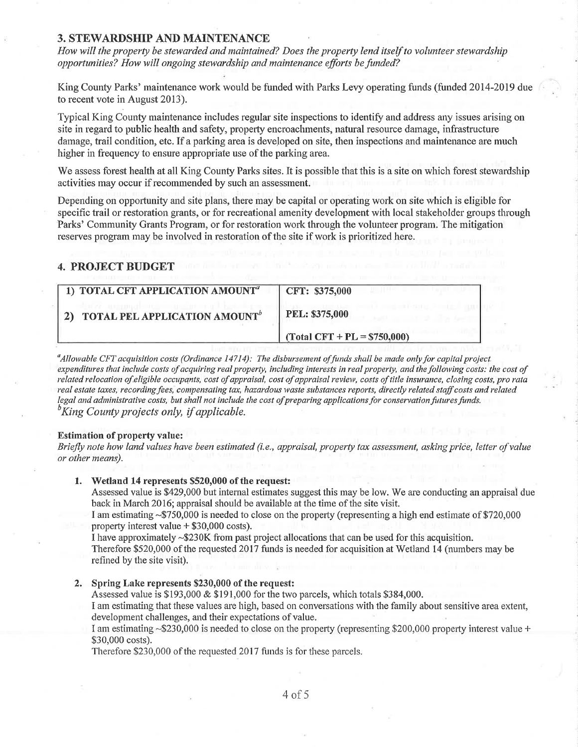### **3. STEWARDSHIP AND MAINTENANCE**

How will the property be stewarded and maintained? Does the property lend itself to volunteer stewardship opportunities? How will ongoing stewardship and maintenance efforts be funded?

King County Parks' maintenance work would be funded with Parks Levy operating funds (funded 2014-2019 due to recent vote in August 2013).

Typical King County maintenance includes regular site inspections to identify and address any issues arising on site in regard to public health and safety, property encroachments, natural resource damage, infrastructure damage, trail condition, etc. If a parking area is developed on site, then inspections and maintenance are much higher in frequency to ensure appropriate use of the parking area.

We assess forest health at all King County Parks sites. It is possible that this is a site on which forest stewardship activities may occur if recommended by such an assessment.

Depending on opportunity and site plans, there may be capital or operating work on site which is eligible for specific trail or restoration grants, or for recreational amenity development with local stakeholder groups through Parks' Community Grants Program, or for restoration work through the volunteer program. The mitigation reserves program may be involved in restoration of the site if work is prioritized here.

### **4. PROJECT BUDGET**

| 1) TOTAL CFT APPLICATION AMOUNT <sup>a</sup>     | CFT: \$375,000                            |  |
|--------------------------------------------------|-------------------------------------------|--|
| <b>TOTAL PEL APPLICATION AMOUNT</b> <sup>b</sup> | PEL: \$375,000                            |  |
|                                                  | $\text{Total CFT} + \text{PL} = $750,000$ |  |

"Allowable CFT acquisition costs (Ordinance 14714): The disbursement of funds shall be made only for capital project. expenditures that include costs of acquiring real property, including interests in real property, and the following costs: the cost of related relocation of eligible occupants, cost of appraisal, cost of appraisal review, costs of title insurance, closing costs, pro rata real estate taxes, recording fees, compensating tax, hazardous waste substances reports, directly related staff costs and related legal and administrative costs, but shall not include the cost of preparing applications for conservation futures funds.  ${}^b$ King County projects only, if applicable.

#### **Estimation of property value:**

Briefly note how land values have been estimated (i.e., appraisal, property tax assessment, asking price, letter of value or other means).

#### 1. Wetland 14 represents \$520,000 of the request:

Assessed value is \$429,000 but internal estimates suggest this may be low. We are conducting an appraisal due back in March 2016; appraisal should be available at the time of the site visit.

I am estimating ~\$750,000 is needed to close on the property (representing a high end estimate of \$720,000 property interest value  $+$  \$30,000 costs).

I have approximately  $\sim$ \$230K from past project allocations that can be used for this acquisition. Therefore \$520,000 of the requested 2017 funds is needed for acquisition at Wetland 14 (numbers may be refined by the site visit).

#### 2. Spring Lake represents \$230,000 of the request:

Assessed value is \$193,000 & \$191,000 for the two parcels, which totals \$384,000.

I am estimating that these values are high, based on conversations with the family about sensitive area extent, development challenges, and their expectations of value.

I am estimating ~\$230,000 is needed to close on the property (representing \$200,000 property interest value + \$30,000 costs).

Therefore \$230,000 of the requested 2017 funds is for these parcels.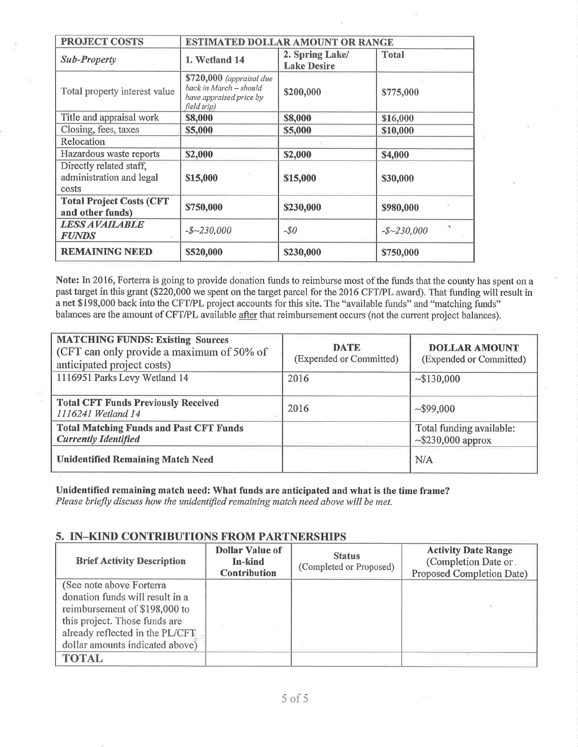| <b>PROJECT COSTS</b>                                         | ESTIMATED DOLLAR AMOUNT OR RANGE                                                             |                                       |                      |  |
|--------------------------------------------------------------|----------------------------------------------------------------------------------------------|---------------------------------------|----------------------|--|
| <b>Sub-Property</b>                                          | 1. Wetland 14                                                                                | 2. Spring Lake/<br><b>Lake Desire</b> | <b>Total</b>         |  |
| Total property interest value                                | \$720,000 (appraisal due<br>back in March - should<br>have appraised price by<br>field trip) | \$200,000                             | \$775,000            |  |
| Title and appraisal work                                     | \$8,000                                                                                      | \$8,000                               | \$16,000             |  |
| Closing, fees, taxes                                         | \$5,000                                                                                      | \$5,000                               | \$10,000             |  |
| Relocation                                                   |                                                                                              |                                       |                      |  |
| Hazardous waste reports                                      | \$2,000                                                                                      | \$2,000                               | \$4,000              |  |
| Directly related staff,<br>administration and legal<br>costs | \$15,000                                                                                     | \$15,000                              | \$30,000             |  |
| <b>Total Project Costs (CFT</b><br>and other funds)          | \$750,000                                                                                    | \$230,000                             | \$980,000            |  |
| <b>LESS AVAILABLE</b><br><b>FUNDS</b>                        | $-$~230,000$                                                                                 | $-50$                                 | W.<br>$-$ \$~230,000 |  |
| <b>REMAINING NEED</b>                                        | \$520,000                                                                                    | \$230,000                             | \$750,000            |  |

Note: In 2016, Fortena is going to provide donation funds to reimburse most of the funds that the county has spent on a past target in this grant (\$220,000 we spent on the target parcel for the 2016 CFT/PL award). That funding will result in a net \$198,000 back into the CFT/PL project accounts for this site. The "available funds" and "matching funds" balances are the amount of CFT/PL available after that reimbursement occurs (not the current project balances).

| <b>MATCHING FUNDS: Existing Sources</b><br>CFT can only provide a maximum of 50% of<br>anticipated project costs) | <b>DATE</b><br>(Expended or Committed) | <b>DOLLAR AMOUNT</b><br>(Expended or Committed)     |
|-------------------------------------------------------------------------------------------------------------------|----------------------------------------|-----------------------------------------------------|
| 1116951 Parks Levy Wetland 14                                                                                     | 2016                                   | ~130,000                                            |
| Total CFT Funds Previously Received<br>1116241 Wetland 14                                                         | 2016                                   | ~1000                                               |
| <b>Total Matching Funds and Past CFT Funds</b><br><b>Currently Identified</b>                                     |                                        | Total funding available:<br>$\sim$ \$230,000 approx |
| <b>Unidentified Remaining Match Need</b>                                                                          |                                        | N/A                                                 |

Unidentifïed remaining match need: What funds are anticipated and what is the time frame? Please briefly discuss how the unidentified remaining match need above will be met.

## 5. IN-KIND CONTRIBUTIONS FROM PARTNERSHIPS

| <b>Brief Activity Description</b> | <b>Dollar Value of</b><br>In-kind<br><b>Contribution</b> | <b>Status</b><br>(Completed or Proposed) | <b>Activity Date Range</b><br>(Completion Date or.<br>Proposed Completion Date) |
|-----------------------------------|----------------------------------------------------------|------------------------------------------|---------------------------------------------------------------------------------|
| (See note above Forterra          |                                                          |                                          |                                                                                 |
| donation funds will result in a   |                                                          |                                          |                                                                                 |
| reimbursement of \$198,000 to     |                                                          |                                          |                                                                                 |
| this project. Those funds are     |                                                          |                                          |                                                                                 |
| already reflected in the PL/CFT   |                                                          |                                          |                                                                                 |
| dollar amounts indicated above)   |                                                          |                                          |                                                                                 |
| <b>TOTAL</b>                      |                                                          |                                          |                                                                                 |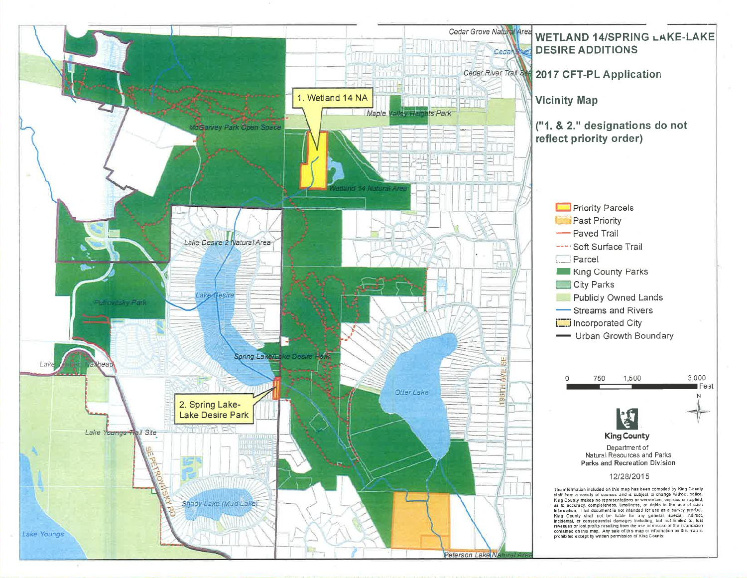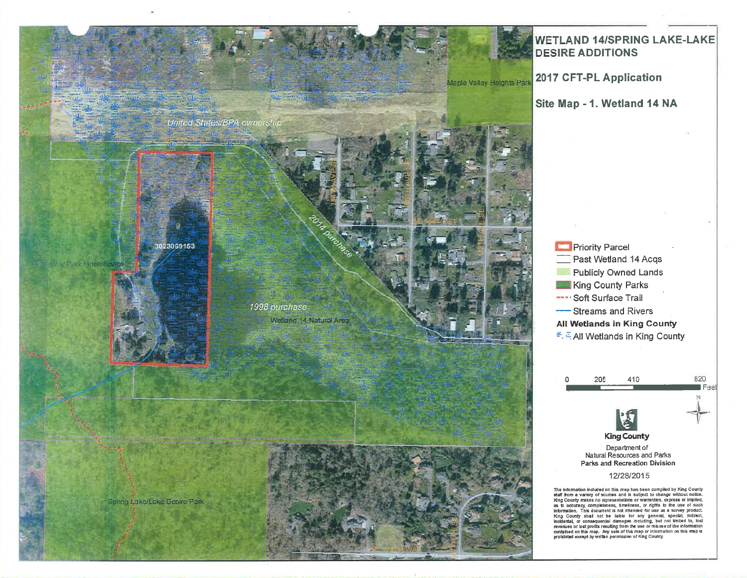

## **WETLAND 14/SPRING LAKE-LAKE DESIRE ADDITIONS**

2017 CFT-PL Application

Site Map - 1. Wetland 14 NA



**King County** Department of<br>Natural Resources and Parks<br>Parks and Recreation Division 820

Feet

#### 12/28/2015

The information included on this map has been compiled by King County raw numeration includes on us may near set compared by hard counter start from a variety of sources and is subject to change without notice.<br>Ring County makes no representations or warranties, express or implied, as to acc King County shall not be liable for any general, special, inclusion<br>incluental, or consequential damages including, but not limited to, lost<br>revenues or lost profits resulting from the use or misuse of the information contained on this map. Any sale of this mep or information on this map is<br>prohibited except by written permission of King County.